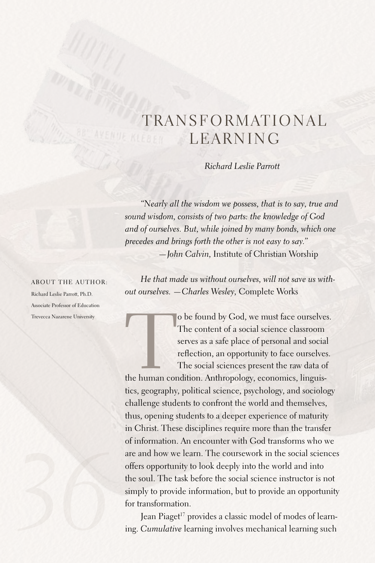# TRANSFORMATIONAL LEARNING

*Richard Leslie Parrott*

*"Nearly all the wisdom we possess, that is to say, true and sound wisdom, consists of two parts: the knowledge of God and of ourselves. But, while joined by many bonds, which one precedes and brings forth the other is not easy to say." —John Calvin,* Institute of Christian Worship

*He that made us without ourselves, will not save us without ourselves. —Charles Wesley,* Complete Works

o be found by God, we must face ourselves.<br>
The content of a social science classroom<br>
serves as a safe place of personal and social<br>
reflection, an opportunity to face ourselves.<br>
The social sciences present the raw data The content of a social science classroom serves as a safe place of personal and social reflection, an opportunity to face ourselves. The social sciences present the raw data of

tics, geography, political science, psychology, and sociology challenge students to confront the world and themselves, thus, opening students to a deeper experience of maturity in Christ. These disciplines require more than the transfer of information.An encounter with God transforms who we are and how we learn. The coursework in the social sciences offers opportunity to look deeply into the world and into the soul. The task before the social science instructor is not simply to provide information, but to provide an opportunity for transformation.

Jean Piaget<sup>17</sup> provides a classic model of modes of learning.*Cumulative* learning involves mechanical learning such

About the author: Richard Leslie Parrott, Ph.D. Associate Professor of Education

Trevecca Nazarene University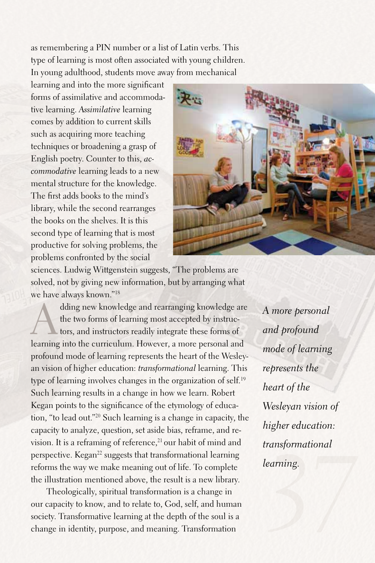as remembering a PIN number or a list of Latin verbs. This type of learning is most often associated with young children. In young adulthood, students move away from mechanical

learning and into the more significant forms of assimilative and accommodative learning.*Assimilative* learning comes by addition to current skills such as acquiring more teaching techniques or broadening a grasp of English poetry. Counter to this, *accommodative* learning leads to a new mental structure for the knowledge. The first adds books to the mind's library, while the second rearranges the books on the shelves. It is this second type of learning that is most productive for solving problems, the problems confronted by the social



sciences.Ludwig Wittgenstein suggests, "The problems are solved, not by giving new information, but by arranging what we have always known."18

dding new knowledge and rearranging knowledge are<br>the two forms of learning most accepted by instruc-<br>tors, and instructors readily integrate these forms of<br>learning into the curriculum Housuar, a more personal and the two forms of learning most accepted by instructors, and instructors readily integrate these forms of learning into the curriculum. However, a more personal and profound mode of learning represents the heart of the Wesleyan vision of higher education: *transformational* learning. This type of learning involves changes in the organization of self. 19 Such learning results in a change in how we learn. Robert Kegan points to the significance of the etymology of education, "to lead out."20 Such learning is a change in capacity, the capacity to analyze, question, set aside bias, reframe, and revision. It is a reframing of reference,<sup>21</sup> our habit of mind and perspective. Kegan<sup>22</sup> suggests that transformational learning reforms the way we make meaning out of life. To complete the illustration mentioned above, the result is a new library.

Theologically, spiritual transformation is a change in our capacity to know, and to relate to, God, self, and human society. Transformative learning at the depth of the soul is a change in identity, purpose, and meaning. Transformation

*anayomaalona*<br>*<sup>2</sup>377*<br>*3777 A more personal and profound mode of learning represents the heart of the Wesleyan vision of higher education: transformational learning.*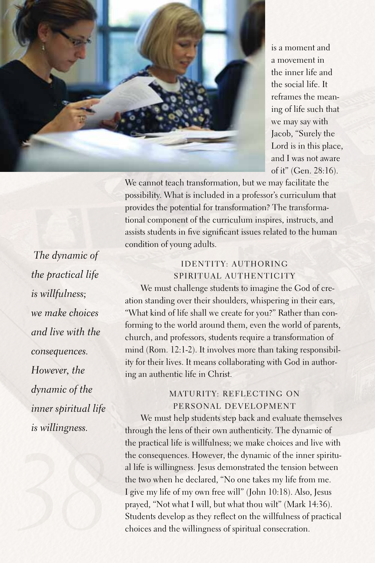

is a moment and a movement in the inner life and the social life. It reframes the meaning of life such that we may say with Jacob, "Surely the Lord is in this place, and I was not aware of it" (Gen. 28:16).

We cannot teach transformation, but we may facilitate the possibility. What is included in a professor's curriculum that provides the potential for transformation? The transformational component of the curriculum inspires, instructs, and assists students in five significant issues related to the human condition of young adults.

 *The dynamic of the practical life is willfulness; we make choices and live with the consequences. However, the dynamic of the inner spiritual life is willingness.*

# Identity: Authoring Spiritual Authenticity

We must challenge students to imagine the God of creation standing over their shoulders, whispering in their ears, "What kind of life shall we create for you?" Rather than conforming to the world around them, even the world of parents, church, and professors, students require a transformation of mind (Rom. 12:1-2). It involves more than taking responsibility for their lives. It means collaborating with God in authoring an authentic life in Christ.

# MATURITY: REFLECTING ON Personal Development

We must help students step back and evaluate themselves through the lens of their own authenticity. The dynamic of the practical life is willfulness; we make choices and live with the consequences. However, the dynamic of the inner spiritual life is willingness. Jesus demonstrated the tension between the two when he declared, "No one takes my life from me. I give my life of my own free will" (John 10:18).Also, Jesus prayed, "Not what I will, but what thou wilt" (Mark 14:36). Students develop as they reflect on the willfulness of practical choices and the willingness of spiritual consecration.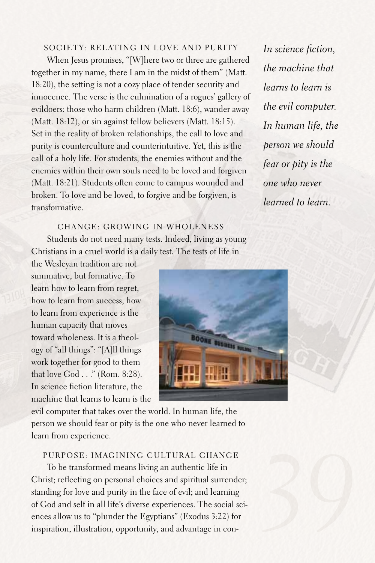## SOCIETY: RELATING IN LOVE AND PURITY

When Jesus promises, "[W]here two or three are gathered together in my name, there I am in the midst of them" (Matt. 18:20), the setting is not a cozy place of tender security and innocence. The verse is the culmination of a rogues' gallery of evildoers: those who harm children (Matt. 18:6), wander away (Matt. 18:12), or sin against fellow believers (Matt. 18:15). Set in the reality of broken relationships, the call to love and purity is counterculture and counterintuitive. Yet, this is the call of a holy life.For students, the enemies without and the enemies within their own souls need to be loved and forgiven (Matt. 18:21). Students often come to campus wounded and broken. To love and be loved, to forgive and be forgiven, is transformative.

*In science fiction, the machine that learns to learn is the evil computer. In human life, the person we should fear or pity is the one who never learned to learn.*

Change: Growing in Wholeness Students do not need many tests. Indeed, living as young Christians in a cruel world is a daily test. The tests of life in

the Wesleyan tradition are not summative, but formative. To learn how to learn from regret, how to learn from success, how to learn from experience is the human capacity that moves toward wholeness. It is a theology of "all things": "[A]ll things work together for good to them that love God ..." (Rom. 8:28). In science fiction literature, the machine that learns to learn is the



evil computer that takes over the world. In human life, the person we should fear or pity is the one who never learned to learn from experience.

### Purpose: Imagining Cultural Change

To be transformed means living an authentic life in Christ; reflecting on personal choices and spiritual surrender; standing for love and purity in the face of evil; and learning of God and self in all life's diverse experiences. The social sciences allow us to "plunder the Egyptians" (Exodus 3:22) for inspiration, illustration, opportunity, and advantage in con-